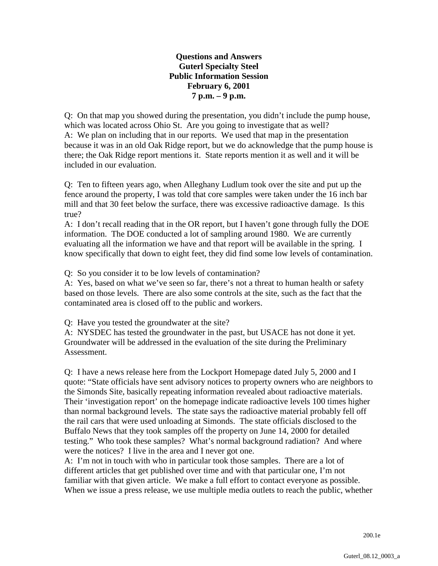**Questions and Answers Guterl Specialty Steel Public Information Session February 6, 2001 7 p.m. – 9 p.m.**

Q: On that map you showed during the presentation, you didn't include the pump house, which was located across Ohio St. Are you going to investigate that as well? A: We plan on including that in our reports. We used that map in the presentation because it was in an old Oak Ridge report, but we do acknowledge that the pump house is there; the Oak Ridge report mentions it. State reports mention it as well and it will be included in our evaluation.

Q: Ten to fifteen years ago, when Alleghany Ludlum took over the site and put up the fence around the property, I was told that core samples were taken under the 16 inch bar mill and that 30 feet below the surface, there was excessive radioactive damage. Is this true?

A: I don't recall reading that in the OR report, but I haven't gone through fully the DOE information. The DOE conducted a lot of sampling around 1980. We are currently evaluating all the information we have and that report will be available in the spring. I know specifically that down to eight feet, they did find some low levels of contamination.

Q: So you consider it to be low levels of contamination?

A: Yes, based on what we've seen so far, there's not a threat to human health or safety based on those levels. There are also some controls at the site, such as the fact that the contaminated area is closed off to the public and workers.

Q: Have you tested the groundwater at the site?

A: NYSDEC has tested the groundwater in the past, but USACE has not done it yet. Groundwater will be addressed in the evaluation of the site during the Preliminary Assessment.

Q: I have a news release here from the Lockport Homepage dated July 5, 2000 and I quote: "State officials have sent advisory notices to property owners who are neighbors to the Simonds Site, basically repeating information revealed about radioactive materials. Their 'investigation report' on the homepage indicate radioactive levels 100 times higher than normal background levels. The state says the radioactive material probably fell off the rail cars that were used unloading at Simonds. The state officials disclosed to the Buffalo News that they took samples off the property on June 14, 2000 for detailed testing." Who took these samples? What's normal background radiation? And where were the notices? I live in the area and I never got one.

A: I'm not in touch with who in particular took those samples. There are a lot of different articles that get published over time and with that particular one, I'm not familiar with that given article. We make a full effort to contact everyone as possible. When we issue a press release, we use multiple media outlets to reach the public, whether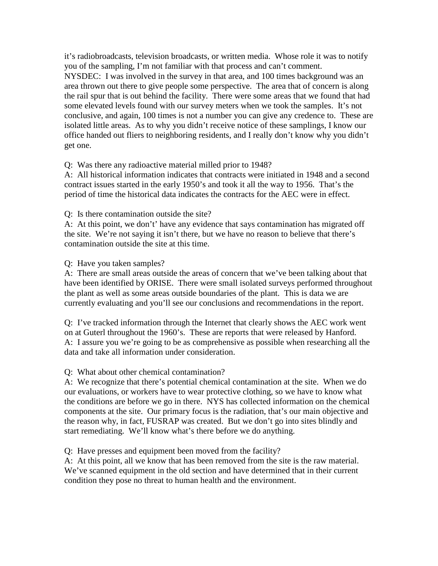it's radiobroadcasts, television broadcasts, or written media. Whose role it was to notify you of the sampling, I'm not familiar with that process and can't comment. NYSDEC: I was involved in the survey in that area, and 100 times background was an area thrown out there to give people some perspective. The area that of concern is along the rail spur that is out behind the facility. There were some areas that we found that had some elevated levels found with our survey meters when we took the samples. It's not conclusive, and again, 100 times is not a number you can give any credence to. These are isolated little areas. As to why you didn't receive notice of these samplings, I know our office handed out fliers to neighboring residents, and I really don't know why you didn't get one.

Q: Was there any radioactive material milled prior to 1948?

A: All historical information indicates that contracts were initiated in 1948 and a second contract issues started in the early 1950's and took it all the way to 1956. That's the period of time the historical data indicates the contracts for the AEC were in effect.

Q: Is there contamination outside the site?

A: At this point, we don't' have any evidence that says contamination has migrated off the site. We're not saying it isn't there, but we have no reason to believe that there's contamination outside the site at this time.

Q: Have you taken samples?

A: There are small areas outside the areas of concern that we've been talking about that have been identified by ORISE. There were small isolated surveys performed throughout the plant as well as some areas outside boundaries of the plant. This is data we are currently evaluating and you'll see our conclusions and recommendations in the report.

Q: I've tracked information through the Internet that clearly shows the AEC work went on at Guterl throughout the 1960's. These are reports that were released by Hanford. A: I assure you we're going to be as comprehensive as possible when researching all the data and take all information under consideration.

## Q: What about other chemical contamination?

A: We recognize that there's potential chemical contamination at the site. When we do our evaluations, or workers have to wear protective clothing, so we have to know what the conditions are before we go in there. NYS has collected information on the chemical components at the site. Our primary focus is the radiation, that's our main objective and the reason why, in fact, FUSRAP was created. But we don't go into sites blindly and start remediating. We'll know what's there before we do anything.

Q: Have presses and equipment been moved from the facility?

A: At this point, all we know that has been removed from the site is the raw material. We've scanned equipment in the old section and have determined that in their current condition they pose no threat to human health and the environment.